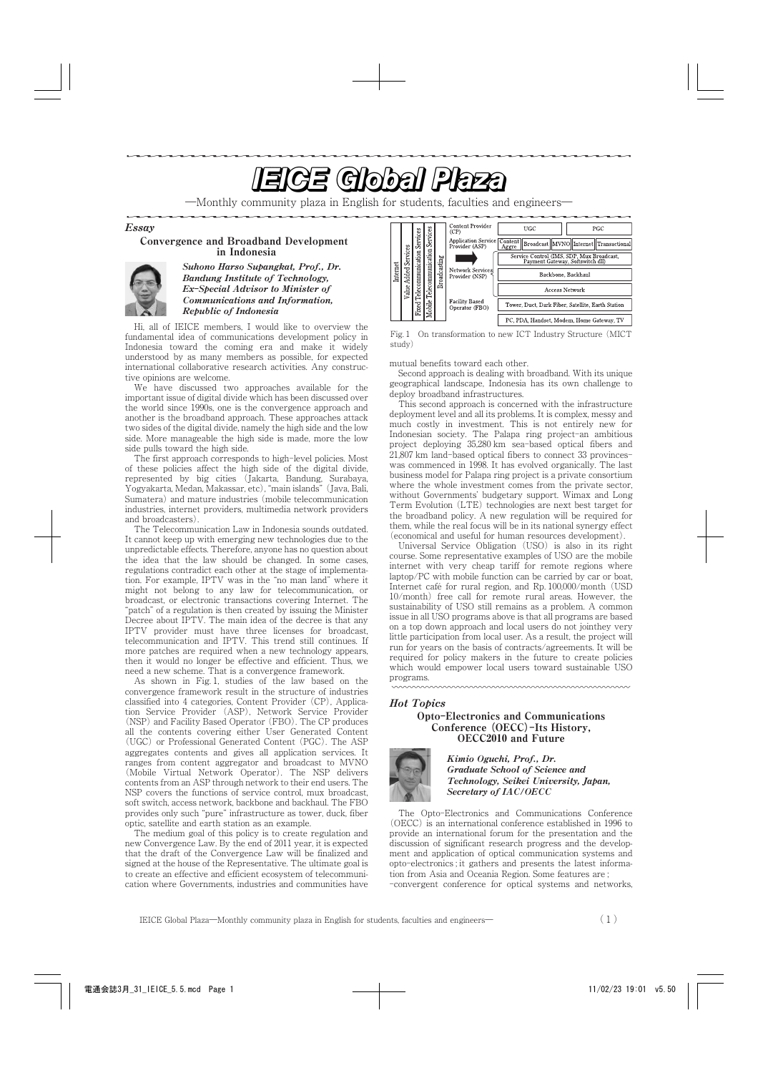<u>e de la componentación de la componentación de la componentación de la componentación de la componentación de la componentación de la componentación de la componentación de la componentación de la componentación de la com</u>

―Monthly community plaza in English for students, faculties and engineers―

Essay

## Convergence and Broadband Development in Indonesia



Suhono Harso Supangkat, Prof., Dr. Bandung Institute of Technology, Ex**-**Special Advisor to Minister of Communications and Information, Republic of Indonesia

Hi, all of IEICE members, I would like to overview the fundamental idea of communications development policy in Indonesia toward the coming era and make it widely understood by as many members as possible, for expected international collaborative research activities. Any constructive opinions are welcome.

We have discussed two approaches available for the important issue of digital divide which has been discussed over the world since 1990s, one is the convergence approach and another is the broadband approach. These approaches attack two sides of the digital divide, namely the high side and the low side. More manageable the high side is made, more the low side pulls toward the high side.

The first approach corresponds to high-level policies. Most of these policies affect the high side of the digital divide, represented by big cities (Jakarta, Bandung, Surabaya, Yogyakarta, Medan, Makassar, etc), "main islands" (Java, Bali, Sumatera) and mature industries (mobile telecommunication industries, internet providers, multimedia network providers and broadcasters).

The Telecommunication Law in Indonesia sounds outdated. It cannot keep up with emerging new technologies due to the unpredictable effects. Therefore, anyone has no question about the idea that the law should be changed. In some cases, regulations contradict each other at the stage of implementation. For example, IPTV was in the "no man land" where it might not belong to any law for telecommunication, or broadcast, or electronic transactions covering Internet. The "patch" of a regulation is then created by issuing the Minister Decree about IPTV. The main idea of the decree is that any IPTV provider must have three licenses for broadcast, telecommunication and IPTV. This trend still continues. If more patches are required when a new technology appears, then it would no longer be effective and efficient. Thus, we need a new scheme. That is a convergence framework.

As shown in Fig. 1, studies of the law based on the convergence framework result in the structure of industries classified into 4 categories, Content Provider (CP), Application Service Provider (ASP), Network Service Provider (NSP) and Facility Based Operator (FBO). The CP produces all the contents covering either User Generated Content (UGC) or Professional Generated Content (PGC). The ASP aggregates contents and gives all application services. It ranges from content aggregator and broadcast to MVNO (Mobile Virtual Network Operator). The NSP delivers contents from an ASP through network to their end users. The NSP covers the functions of service control, mux broadcast, soft switch, access network, backbone and backhaul. The FBO provides only such "pure" infrastructure as tower, duck, fiber optic, satellite and earth station as an example.

The medium goal of this policy is to create regulation and new Convergence Law. By the end of 2011 year, it is expected that the draft of the Convergence Law will be finalized and signed at the house of the Representative. The ultimate goal is to create an effective and efficient ecosystem of telecommunication where Governments, industries and communities have



Fig. 1 On transformation to new ICT Industry Structure (MICT study)

mutual benefits toward each other.

Second approach is dealing with broadband. With its unique geographical landscape, Indonesia has its own challenge to deploy broadband infrastructures.

This second approach is concerned with the infrastructure deployment level and all its problems. It is complex, messy and much costly in investment. This is not entirely new for Indonesian society. The Palapa ring project-an ambitious project deploying 35,280 km sea-based optical fibers and 21,807 km land-based optical fibers to connect 33 provinceswas commenced in 1998. It has evolved organically. The last business model for Palapa ring project is a private consortium where the whole investment comes from the private sector, without Governments' budgetary support. Wimax and Long Term Evolution (LTE) technologies are next best target for the broadband policy. A new regulation will be required for them, while the real focus will be in its national synergy effect (economical and useful for human resources development).

Universal Service Obligation (USO) is also in its right course. Some representative examples of USO are the mobile internet with very cheap tariff for remote regions where laptop/PC with mobile function can be carried by car or boat, Internet café for rural region, and Rp. 100,000/month (USD 10/month) free call for remote rural areas. However, the sustainability of USO still remains as a problem. A common issue in all USO programs above is that all programs are based on a top down approach and local users do not jointhey very little participation from local user. As a result, the project will run for years on the basis of contracts/agreements. It will be required for policy makers in the future to create policies which would empower local users toward sustainable USO programs.

## Hot Topics

Opto**-**Electronics and Communications Conference **(**OECC**)-**Its History, OECC2010 and Future



Kimio Oguchi, Prof., Dr. Graduate School of Science and Technology, Seikei University, Japan, Secretary of IAC**/**OECC

The Opto-Electronics and Communications Conference (OECC) is an international conference established in 1996 to provide an international forum for the presentation and the discussion of significant research progress and the development and application of optical communication systems and opto-electronics ; it gathers and presents the latest information from Asia and Oceania Region. Some features are ;

-convergent conference for optical systems and networks,